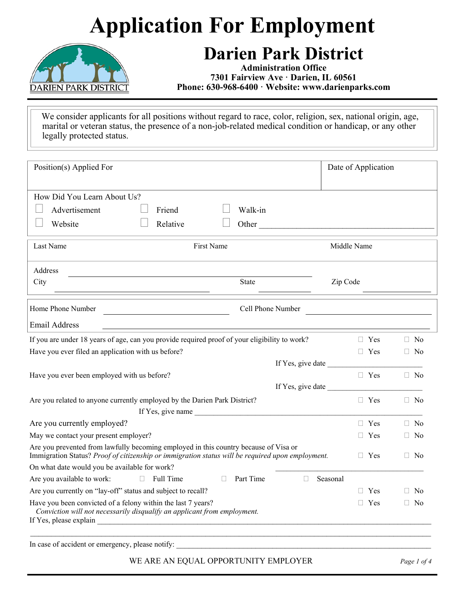# **Application For Employment**



#### **Darien Park District**

**Administration Office 7301 Fairview Ave · Darien, IL 60561 Phone: 630-968-6400 · Website: www.darienparks.com** 

 We consider applicants for all positions without regard to race, color, religion, sex, national origin, age, marital or veteran status, the presence of a non-job-related medical condition or handicap, or any other legally protected status.

| Position(s) Applied For                                                                                                                                                                  |                   | Date of Application |           |
|------------------------------------------------------------------------------------------------------------------------------------------------------------------------------------------|-------------------|---------------------|-----------|
| How Did You Learn About Us?                                                                                                                                                              |                   |                     |           |
| Advertisement<br>Friend                                                                                                                                                                  | Walk-in           |                     |           |
| Relative<br>Website                                                                                                                                                                      | Other             |                     |           |
| <b>First Name</b><br>Last Name                                                                                                                                                           |                   | Middle Name         |           |
| Address                                                                                                                                                                                  |                   |                     |           |
| City                                                                                                                                                                                     | State             | Zip Code            |           |
| Home Phone Number                                                                                                                                                                        | Cell Phone Number |                     |           |
| <b>Email Address</b><br><u> 1980 - Johann Barbara, martxa alemaniar arg</u>                                                                                                              |                   |                     |           |
| If you are under 18 years of age, can you provide required proof of your eligibility to work?                                                                                            |                   | $\Box$ Yes          | $\Box$ No |
| Have you ever filed an application with us before?                                                                                                                                       |                   | $\Box$ Yes          | $\Box$ No |
|                                                                                                                                                                                          | If Yes, give date |                     |           |
| Have you ever been employed with us before?                                                                                                                                              |                   | $\Box$ Yes          | $\Box$ No |
|                                                                                                                                                                                          |                   | If Yes, give date   |           |
| Are you related to anyone currently employed by the Darien Park District?                                                                                                                |                   | $\Box$ Yes          | $\Box$ No |
| If Yes, give name                                                                                                                                                                        |                   |                     |           |
| Are you currently employed?                                                                                                                                                              |                   | $\Box$ Yes          | $\Box$ No |
| May we contact your present employer?                                                                                                                                                    |                   | $\Box$ Yes          | $\Box$ No |
| Are you prevented from lawfully becoming employed in this country because of Visa or<br>Immigration Status? Proof of citizenship or immigration status will be required upon employment. |                   | $\Box$ Yes          | $\Box$ No |
| On what date would you be available for work?                                                                                                                                            |                   |                     |           |
| Are you available to work:<br>$\Box$ Full Time<br>П                                                                                                                                      | Part Time<br>П    | Seasonal            |           |
| Are you currently on "lay-off" status and subject to recall?                                                                                                                             |                   | Yes<br>H.           | $\Box$ No |
| Have you been convicted of a felony within the last 7 years?<br>Conviction will not necessarily disqualify an applicant from employment.                                                 |                   | $\Box$ Yes          | $\Box$ No |
| In case of accident or emergency, please notify:                                                                                                                                         |                   |                     |           |

WE ARE AN EQUAL OPPORTUNITY EMPLOYER *Page 1 of 4*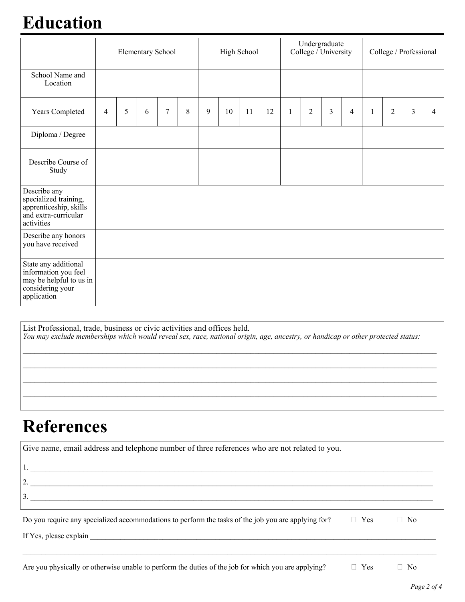### **Education**

|                                                                                                            | <b>Elementary School</b> |   |   |        | High School |   |    | Undergraduate<br>College / University |    |              | College / Professional |   |                |              |                |   |   |
|------------------------------------------------------------------------------------------------------------|--------------------------|---|---|--------|-------------|---|----|---------------------------------------|----|--------------|------------------------|---|----------------|--------------|----------------|---|---|
| School Name and<br>Location                                                                                |                          |   |   |        |             |   |    |                                       |    |              |                        |   |                |              |                |   |   |
| Years Completed                                                                                            | 4                        | 5 | 6 | $\tau$ | 8           | 9 | 10 | 11                                    | 12 | $\mathbf{1}$ | $\overline{2}$         | 3 | $\overline{4}$ | $\mathbf{1}$ | $\overline{2}$ | 3 | 4 |
| Diploma / Degree                                                                                           |                          |   |   |        |             |   |    |                                       |    |              |                        |   |                |              |                |   |   |
| Describe Course of<br>Study                                                                                |                          |   |   |        |             |   |    |                                       |    |              |                        |   |                |              |                |   |   |
| Describe any<br>specialized training,<br>apprenticeship, skills<br>and extra-curricular<br>activities      |                          |   |   |        |             |   |    |                                       |    |              |                        |   |                |              |                |   |   |
| Describe any honors<br>you have received                                                                   |                          |   |   |        |             |   |    |                                       |    |              |                        |   |                |              |                |   |   |
| State any additional<br>information you feel<br>may be helpful to us in<br>considering your<br>application |                          |   |   |        |             |   |    |                                       |    |              |                        |   |                |              |                |   |   |

List Professional, trade, business or civic activities and offices held. *You may exclude memberships which would reveal sex, race, national origin, age, ancestry, or handicap or other protected status:* 

 $\mathcal{L}_\text{max} = \frac{1}{2} \sum_{i=1}^n \mathcal{L}_\text{max} = \frac{1}{2} \sum_{i=1}^n \mathcal{L}_\text{max} = \frac{1}{2} \sum_{i=1}^n \mathcal{L}_\text{max} = \frac{1}{2} \sum_{i=1}^n \mathcal{L}_\text{max} = \frac{1}{2} \sum_{i=1}^n \mathcal{L}_\text{max} = \frac{1}{2} \sum_{i=1}^n \mathcal{L}_\text{max} = \frac{1}{2} \sum_{i=1}^n \mathcal{L}_\text{max} = \frac{1}{2} \sum_{i=$ 

#### **References**

| Give name, email address and telephone number of three references who are not related to you.<br>$\boxed{2.}$<br>$\overline{3}$ . |            |           |  |
|-----------------------------------------------------------------------------------------------------------------------------------|------------|-----------|--|
| Do you require any specialized accommodations to perform the tasks of the job you are applying for?                               | $\Box$ Yes | $\Box$ No |  |
| Are you physically or otherwise unable to perform the duties of the job for which you are applying?                               | $\Box$ Yes | $\Box$ No |  |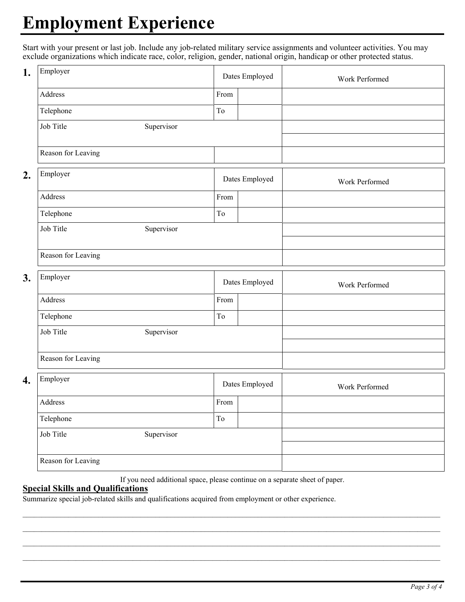## **Employment Experience**

Start with your present or last job. Include any job-related military service assignments and volunteer activities. You may exclude organizations which indicate race, color, religion, gender, national origin, handicap or other protected status.

| 1. | Employer           |            |      | Dates Employed | Work Performed |
|----|--------------------|------------|------|----------------|----------------|
|    | Address            |            | From |                |                |
|    | Telephone          |            | To   |                |                |
|    | Job Title          | Supervisor |      |                |                |
|    |                    |            |      |                |                |
|    | Reason for Leaving |            |      |                |                |
| 2. | Employer           |            |      | Dates Employed | Work Performed |
|    | Address            |            | From |                |                |
|    | Telephone          |            | To   |                |                |
|    | Job Title          | Supervisor |      |                |                |
|    | Reason for Leaving |            |      |                |                |
|    |                    |            |      |                |                |
| 3. | Employer           |            |      | Dates Employed | Work Performed |
|    | Address            |            | From |                |                |
|    | Telephone          |            | To   |                |                |
|    | Job Title          | Supervisor |      |                |                |
|    | Reason for Leaving |            |      |                |                |
| 4. | Employer           |            |      | Dates Employed | Work Performed |
|    | Address            |            | From |                |                |
|    | Telephone          |            | To   |                |                |
|    | Job Title          | Supervisor |      |                |                |
|    |                    |            |      |                |                |
|    | Reason for Leaving |            |      |                |                |

If you need additional space, please continue on a separate sheet of paper.

 $\_$  , and the state of the state of the state of the state of the state of the state of the state of the state of the state of the state of the state of the state of the state of the state of the state of the state of the  $\_$  , and the state of the state of the state of the state of the state of the state of the state of the state of the state of the state of the state of the state of the state of the state of the state of the state of the  $\_$  , and the state of the state of the state of the state of the state of the state of the state of the state of the state of the state of the state of the state of the state of the state of the state of the state of the  $\mathcal{L}_\text{max} = \frac{1}{2} \sum_{i=1}^n \mathcal{L}_\text{max} = \frac{1}{2} \sum_{i=1}^n \mathcal{L}_\text{max} = \frac{1}{2} \sum_{i=1}^n \mathcal{L}_\text{max} = \frac{1}{2} \sum_{i=1}^n \mathcal{L}_\text{max} = \frac{1}{2} \sum_{i=1}^n \mathcal{L}_\text{max} = \frac{1}{2} \sum_{i=1}^n \mathcal{L}_\text{max} = \frac{1}{2} \sum_{i=1}^n \mathcal{L}_\text{max} = \frac{1}{2} \sum_{i=$ 

#### **Special Skills and Qualifications**

Summarize special job-related skills and qualifications acquired from employment or other experience.